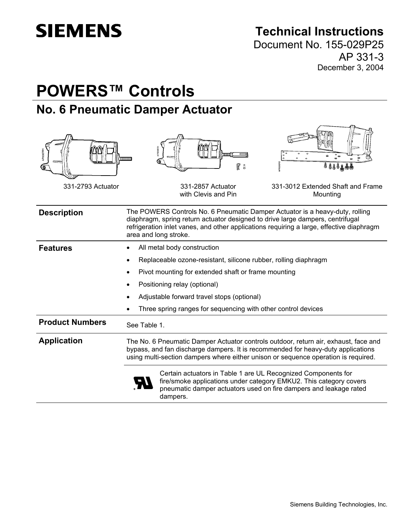# **SIEMENS**

## **Technical Instructions**

Document No. 155-029P25 AP 331-3 December 3, 2004

## **POWERS™ Controls No. 6 Pneumatic Damper Actuator**

| AP0067R<br>331-2793 Actuator | R<br><b>d assa dd</b><br>A<br>331-2857 Actuator<br>331-3012 Extended Shaft and Frame<br>with Clevis and Pin<br>Mounting                                                                                                                                                             |
|------------------------------|-------------------------------------------------------------------------------------------------------------------------------------------------------------------------------------------------------------------------------------------------------------------------------------|
| <b>Description</b>           | The POWERS Controls No. 6 Pneumatic Damper Actuator is a heavy-duty, rolling<br>diaphragm, spring return actuator designed to drive large dampers, centrifugal<br>refrigeration inlet vanes, and other applications requiring a large, effective diaphragm<br>area and long stroke. |
| <b>Features</b>              | All metal body construction                                                                                                                                                                                                                                                         |
|                              | Replaceable ozone-resistant, silicone rubber, rolling diaphragm<br>$\bullet$                                                                                                                                                                                                        |
|                              | Pivot mounting for extended shaft or frame mounting                                                                                                                                                                                                                                 |
|                              | Positioning relay (optional)                                                                                                                                                                                                                                                        |
|                              | Adjustable forward travel stops (optional)                                                                                                                                                                                                                                          |
|                              | Three spring ranges for sequencing with other control devices                                                                                                                                                                                                                       |
| <b>Product Numbers</b>       | See Table 1.                                                                                                                                                                                                                                                                        |
| <b>Application</b>           | The No. 6 Pneumatic Damper Actuator controls outdoor, return air, exhaust, face and<br>bypass, and fan discharge dampers. It is recommended for heavy-duty applications<br>using multi-section dampers where either unison or sequence operation is required.                       |
|                              | Certain actuators in Table 1 are UL Recognized Components for<br>fire/smoke applications under category EMKU2. This category covers<br>pneumatic damper actuators used on fire dampers and leakage rated<br>dampers.                                                                |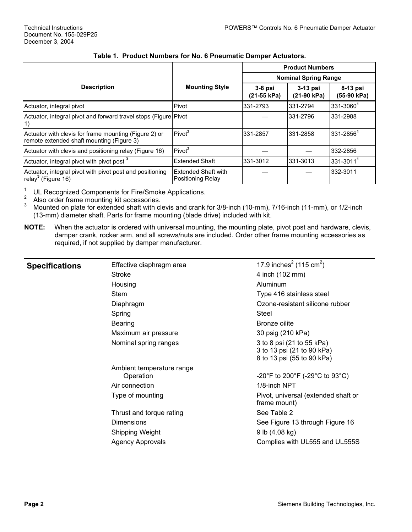|                                                                                                    |                                                 |                             | <b>Product Numbers</b>    |                         |  |
|----------------------------------------------------------------------------------------------------|-------------------------------------------------|-----------------------------|---------------------------|-------------------------|--|
|                                                                                                    |                                                 | <b>Nominal Spring Range</b> |                           |                         |  |
| <b>Description</b>                                                                                 | <b>Mounting Style</b>                           | $3-8$ psi<br>(21-55 kPa)    | $3-13$ psi<br>(21-90 kPa) | 8-13 psi<br>(55-90 kPa) |  |
| Actuator, integral pivot                                                                           | Pivot                                           | 331-2793                    | 331-2794                  | 331-30601               |  |
| Actuator, integral pivot and forward travel stops (Figure Pivot<br>1)                              |                                                 |                             | 331-2796                  | 331-2988                |  |
| Actuator with clevis for frame mounting (Figure 2) or<br>remote extended shaft mounting (Figure 3) | Pivot <sup>2</sup>                              | 331-2857                    | 331-2858                  | 331-28561               |  |
| Actuator with clevis and positioning relay (Figure 16)                                             | Pivot <sup>2</sup>                              |                             |                           | 332-2856                |  |
| Actuator, integral pivot with pivot post <sup>3</sup>                                              | <b>Extended Shaft</b>                           | 331-3012                    | 331-3013                  | 331-3011                |  |
| Actuator, integral pivot with pivot post and positioning<br>relay <sup>3</sup> (Figure 16)         | <b>Extended Shaft with</b><br>Positioning Relay |                             |                           | 332-3011                |  |

#### **Table 1. Product Numbers for No. 6 Pneumatic Damper Actuators.**

<sup>1</sup> UL Recognized Components for Fire/Smoke Applications.<br><sup>2</sup> Also order frame mounting kit accessories.<br><sup>3</sup> Mounted on plate for extended shaft with clevis and crank for 3/8-inch (10-mm), 7/16-inch (11-mm), or 1/2-inch (13-mm) diameter shaft. Parts for frame mounting (blade drive) included with kit.

**NOTE:** When the actuator is ordered with universal mounting, the mounting plate, pivot post and hardware, clevis, damper crank, rocker arm, and all screws/nuts are included. Order other frame mounting accessories as required, if not supplied by damper manufacturer.

| <b>Specifications</b> | Effective diaphragm area               | 17.9 inches <sup>2</sup> (115 cm <sup>2</sup> )                                       |
|-----------------------|----------------------------------------|---------------------------------------------------------------------------------------|
|                       | Stroke                                 | 4 inch (102 mm)                                                                       |
|                       | Housing                                | Aluminum                                                                              |
|                       | <b>Stem</b>                            | Type 416 stainless steel                                                              |
|                       | Diaphragm                              | Ozone-resistant silicone rubber                                                       |
|                       | Spring                                 | Steel                                                                                 |
|                       | Bearing                                | Bronze oilite                                                                         |
|                       | Maximum air pressure                   | 30 psig (210 kPa)                                                                     |
|                       | Nominal spring ranges                  | 3 to 8 psi (21 to 55 kPa)<br>3 to 13 psi (21 to 90 kPa)<br>8 to 13 psi (55 to 90 kPa) |
|                       | Ambient temperature range<br>Operation | -20°F to 200°F (-29°C to 93°C)                                                        |
|                       | Air connection                         | 1/8-inch NPT                                                                          |
|                       | Type of mounting                       | Pivot, universal (extended shaft or<br>frame mount)                                   |
|                       | Thrust and torque rating               | See Table 2                                                                           |
|                       | <b>Dimensions</b>                      | See Figure 13 through Figure 16                                                       |
|                       | Shipping Weight                        | 9 lb $(4.08 \text{ kg})$                                                              |
|                       | <b>Agency Approvals</b>                | Complies with UL555 and UL555S                                                        |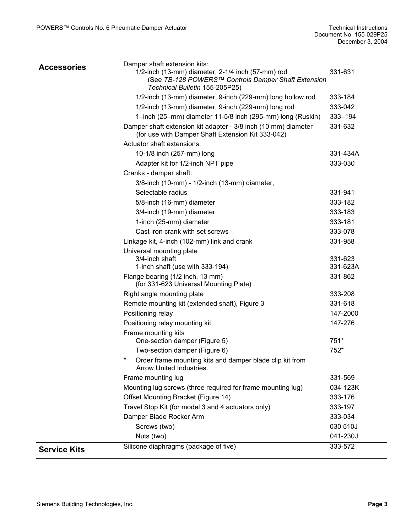| <b>Accessories</b>  | Damper shaft extension kits:<br>1/2-inch (13-mm) diameter, 2-1/4 inch (57-mm) rod<br>(See TB-128 POWERS™ Controls Damper Shaft Extension<br>Technical Bulletin 155-205P25) | 331-631             |
|---------------------|----------------------------------------------------------------------------------------------------------------------------------------------------------------------------|---------------------|
|                     | 1/2-inch (13-mm) diameter, 9-inch (229-mm) long hollow rod                                                                                                                 | 333-184             |
|                     | 1/2-inch (13-mm) diameter, 9-inch (229-mm) long rod                                                                                                                        | 333-042             |
|                     | 1-inch (25-mm) diameter 11-5/8 inch (295-mm) long (Ruskin)                                                                                                                 | 333-194             |
|                     | Damper shaft extension kit adapter - 3/8 inch (10 mm) diameter<br>(for use with Damper Shaft Extension Kit 333-042)                                                        | 331-632             |
|                     | Actuator shaft extensions:                                                                                                                                                 |                     |
|                     | 10-1/8 inch (257-mm) long                                                                                                                                                  | 331-434A            |
|                     | Adapter kit for 1/2-inch NPT pipe                                                                                                                                          | 333-030             |
|                     | Cranks - damper shaft:                                                                                                                                                     |                     |
|                     | 3/8-inch (10-mm) - 1/2-inch (13-mm) diameter,                                                                                                                              |                     |
|                     | Selectable radius                                                                                                                                                          | 331-941             |
|                     | 5/8-inch (16-mm) diameter                                                                                                                                                  | 333-182             |
|                     | 3/4-inch (19-mm) diameter                                                                                                                                                  | 333-183             |
|                     | 1-inch (25-mm) diameter                                                                                                                                                    | 333-181             |
|                     | Cast iron crank with set screws                                                                                                                                            | 333-078             |
|                     | Linkage kit, 4-inch (102-mm) link and crank                                                                                                                                | 331-958             |
|                     | Universal mounting plate<br>3/4-inch shaft<br>1-inch shaft (use with 333-194)                                                                                              | 331-623<br>331-623A |
|                     | Flange bearing (1/2 inch, 13 mm)<br>(for 331-623 Universal Mounting Plate)                                                                                                 | 331-862             |
|                     | Right angle mounting plate                                                                                                                                                 | 333-208             |
|                     | Remote mounting kit (extended shaft), Figure 3                                                                                                                             | 331-618             |
|                     | Positioning relay                                                                                                                                                          | 147-2000            |
|                     | Positioning relay mounting kit                                                                                                                                             | 147-276             |
|                     | Frame mounting kits<br>One-section damper (Figure 5)                                                                                                                       | 751*                |
|                     | Two-section damper (Figure 6)                                                                                                                                              | 752*                |
|                     | Order frame mounting kits and damper blade clip kit from<br>Arrow United Industries.                                                                                       |                     |
|                     | Frame mounting lug                                                                                                                                                         | 331-569             |
|                     | Mounting lug screws (three required for frame mounting lug)                                                                                                                | 034-123K            |
|                     | Offset Mounting Bracket (Figure 14)                                                                                                                                        | 333-176             |
|                     | Travel Stop Kit (for model 3 and 4 actuators only)                                                                                                                         | 333-197             |
|                     | Damper Blade Rocker Arm                                                                                                                                                    | 333-034             |
|                     | Screws (two)                                                                                                                                                               | 030 510J            |
|                     | Nuts (two)                                                                                                                                                                 | 041-230J            |
| <b>Service Kits</b> | Silicone diaphragms (package of five)                                                                                                                                      | 333-572             |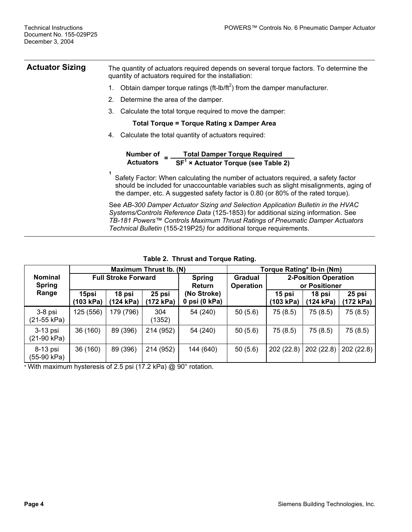**Actuator Sizing** The quantity of actuators required depends on several torque factors. To determine the quantity of actuators required for the installation:

- 1. Obtain damper torque ratings (ft-lb/ft<sup>2</sup>) from the damper manufacturer.
- 2. Determine the area of the damper.
- 3. Calculate the total torque required to move the damper:

#### **Total Torque = Torque Rating x Damper Area**

4. Calculate the total quantity of actuators required:

| Number of        | <b>Total Damper Torque Required</b>   |
|------------------|---------------------------------------|
| <b>Actuators</b> | $SF1$ × Actuator Torque (see Table 2) |

Safety Factor: When calculating the number of actuators required, a safety factor should be included for unaccountable variables such as slight misalignments, aging of the damper, etc. A suggested safety factor is 0.80 (or 80% of the rated torque).

See *AB-300 Damper Actuator Sizing and Selection Application Bulletin in the HVAC Systems/Controls Reference Data* (125-1853) for additional sizing information. See *TB-181 Powers™ Controls Maximum Thrust Ratings of Pneumatic Damper Actuators Technical Bulletin* (155-219P25*)* for additional torque requirements.

|                                 | <b>Maximum Thrust Ib. (N)</b> |                     |                     |                                |                             |                     | Torque Rating* Ib-in (Nm)                    |                     |
|---------------------------------|-------------------------------|---------------------|---------------------|--------------------------------|-----------------------------|---------------------|----------------------------------------------|---------------------|
| <b>Nominal</b><br><b>Spring</b> | <b>Full Stroke Forward</b>    |                     |                     | <b>Spring</b><br><b>Return</b> | Gradual<br><b>Operation</b> |                     | <b>2-Position Operation</b><br>or Positioner |                     |
| Range                           | 15psi<br>(103 kPa)            | 18 psi<br>(124 kPa) | 25 psi<br>(172 kPa) | (No Stroke)<br>0 psi (0 kPa)   |                             | 15 psi<br>(103 kPa) | 18 psi<br>(124 kPa)                          | 25 psi<br>(172 kPa) |
| 3-8 psi<br>(21-55 kPa)          | 125 (556)                     | 179 (796)           | 304<br>(1352)       | 54 (240)                       | 50(5.6)                     | 75 (8.5)            | 75 (8.5)                                     | 75 (8.5)            |
| 3-13 psi<br>(21-90 kPa)         | 36 (160)                      | 89 (396)            | 214 (952)           | 54 (240)                       | 50(5.6)                     | 75 (8.5)            | 75 (8.5)                                     | 75 (8.5)            |
| 8-13 psi<br>(55-90 kPa)         | 36 (160)                      | 89 (396)            | 214 (952)           | 144 (640)                      | 50(5.6)                     | 202 (22.8)          | 202 (22.8)                                   | 202 (22.8)          |

**Table 2. Thrust and Torque Rating.**

\* With maximum hysteresis of 2.5 psi (17.2 kPa) @ 90° rotation.

**1**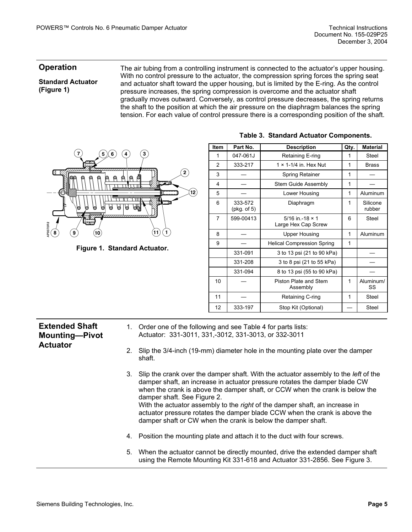#### **Operation**

#### **Standard Actuator ([Figure 1\)](#page-4-0)**

**Extended Shaft Mounting—Pivot** 

**Actuator** 

The air tubing from a controlling instrument is connected to the actuator's upper housing. With no control pressure to the actuator, the compression spring forces the spring seat and actuator shaft toward the upper housing, but is limited by the E-ring. As the control pressure increases, the spring compression is overcome and the actuator shaft gradually moves outward. Conversely, as control pressure decreases, the spring returns the shaft to the position at which the air pressure on the diaphragm balances the spring tension. For each value of control pressure there is a corresponding position of the shaft.

<span id="page-4-0"></span>

**Figure 1. Standard Actuator.** 

| <b>Item</b> | Part No.               | <b>Description</b>                              |   | <b>Material</b>    |
|-------------|------------------------|-------------------------------------------------|---|--------------------|
| 1           | 047-061J               | Retaining E-ring                                | 1 | Steel              |
| 2           | 333-217                | $1 \times 1 - 1/4$ in Hex Nut                   | 1 | <b>Brass</b>       |
| 3           |                        | Spring Retainer                                 | 1 |                    |
| 4           |                        | Stem Guide Assembly                             | 1 |                    |
| 5           |                        | Lower Housing                                   | 1 | Aluminum           |
| 6           | 333-572<br>(pkg. of 5) | Diaphragm                                       | 1 | Silicone<br>rubber |
| 7           | 599-00413              | $5/16$ in -18 $\times$ 1<br>Large Hex Cap Screw | 6 | Steel              |
| 8           |                        | <b>Upper Housing</b>                            | 1 | Aluminum           |
| 9           |                        | <b>Helical Compression Spring</b><br>1          |   |                    |
|             | 331-091                | 3 to 13 psi (21 to 90 kPa)                      |   |                    |
|             | 331-208                | 3 to 8 psi (21 to 55 kPa)                       |   |                    |
|             | 331-094                | 8 to 13 psi (55 to 90 kPa)                      |   |                    |
| 10          |                        | Piston Plate and Stem<br>Assembly               | 1 | Aluminum/<br>SS    |
| 11          |                        | Retaining C-ring                                | 1 | Steel              |
| 12          | 333-197                | Stop Kit (Optional)                             |   | Steel              |

#### **Table 3. Standard Actuator Components.**

- 1. Order one of the following and see Table 4 for parts lists: Actuator: 331-3011, 331,-3012, 331-3013, or 332-3011
	- 2. Slip the 3/4-inch (19-mm) diameter hole in the mounting plate over the damper shaft.
	- 3. Slip the crank over the damper shaft. With the actuator assembly to the *left* of the damper shaft, an increase in actuator pressure rotates the damper blade CW when the crank is above the damper shaft, or CCW when the crank is below the damper shaft. See [Figure 2.](#page-5-0) With the actuator assembly to the *right* of the damper shaft, an increase in actuator pressure rotates the damper blade CCW when the crank is above the damper shaft or CW when the crank is below the damper shaft.
	- 4. Position the mounting plate and attach it to the duct with four screws.
	- 5. When the actuator cannot be directly mounted, drive the extended damper shaft using the Remote Mounting Kit 331-618 and Actuator 331-2856. See [Figure 3.](#page-5-1)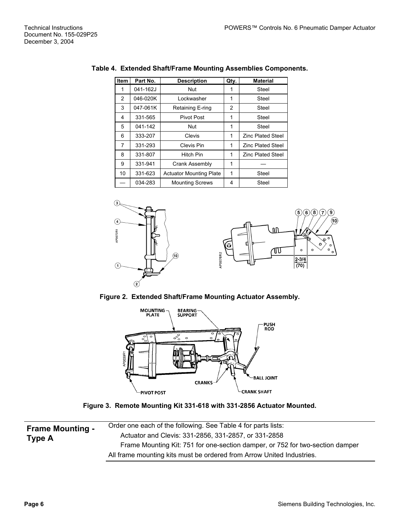| Item | Part No. | <b>Description</b>             | Qty. | <b>Material</b>          |
|------|----------|--------------------------------|------|--------------------------|
| 1    | 041-162J | Nut                            | 1    | Steel                    |
| 2    | 046-020K | Lockwasher                     | 1    | Steel                    |
| 3    | 047-061K | Retaining E-ring               | 2    | Steel                    |
| 4    | 331-565  | Pivot Post                     | 1    | Steel                    |
| 5    | 041-142  | Nut                            | 1    | Steel                    |
| 6    | 333-207  | Clevis                         | 1    | <b>Zinc Plated Steel</b> |
| 7    | 331-293  | Clevis Pin                     | 1    | <b>Zinc Plated Steel</b> |
| 8    | 331-807  | Hitch Pin                      | 1    | <b>Zinc Plated Steel</b> |
| 9    | 331-941  | Crank Assembly                 | 1    |                          |
| 10   | 331-623  | <b>Actuator Mounting Plate</b> | 1    | Steel                    |
|      | 034-283  | <b>Mounting Screws</b>         | 4    | Steel                    |

#### **Table 4. Extended Shaft/Frame Mounting Assemblies Components.**



<span id="page-5-1"></span><span id="page-5-0"></span>**Figure 2. Extended Shaft/Frame Mounting Actuator Assembly.**



**Figure 3. Remote Mounting Kit 331-618 with 331-2856 Actuator Mounted.** 

| <b>Frame Mounting -</b><br>Type A | Order one each of the following. See Table 4 for parts lists:                 |
|-----------------------------------|-------------------------------------------------------------------------------|
|                                   | Actuator and Clevis: 331-2856, 331-2857, or 331-2858                          |
|                                   | Frame Mounting Kit: 751 for one-section damper, or 752 for two-section damper |
|                                   | All frame mounting kits must be ordered from Arrow United Industries.         |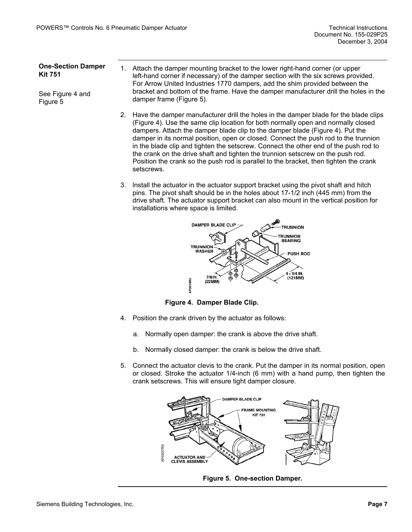#### **One-Section Damper Kit 751**

See [Figure 4](#page-6-1) and [Figure 5](#page-6-0) 

- 1. Attach the damper mounting bracket to the lower right-hand corner (or upper left-hand corner if necessary) of the damper section with the six screws provided. For Arrow United Industries 1770 dampers, add the shim provided between the bracket and bottom of the frame. Have the damper manufacturer drill the holes in the damper frame (Figure 5).
- 2. Have the damper manufacturer drill the holes in the damper blade for the blade clips (Figure 4). Use the same clip location for both normally open and normally closed dampers. Attach the damper blade clip to the damper blade (Figure 4). Put the damper in its normal position, open or closed. Connect the push rod to the trunnion in the blade clip and tighten the setscrew. Connect the other end of the push rod to the crank on the drive shaft and tighten the trunnion setscrew on the push rod. Position the crank so the push rod is parallel to the bracket, then tighten the crank setscrews.
- 3. lnstall the actuator in the actuator support bracket using the pivot shaft and hitch pins. The pivot shaft should be in the holes about 17-1/2 inch (445 mm) from the drive shaft. The actuator support bracket can also mount in the vertical position for installations where space is limited.

<span id="page-6-1"></span>

**Figure 4. Damper Blade Clip.**

- 4. Position the crank driven by the actuator as follows:
	- a. Normally open damper: the crank is above the drive shaft.
	- b. Normally closed damper: the crank is below the drive shaft.
- 5. Connect the actuator clevis to the crank. Put the damper in its normal position, open or closed. Stroke the actuator 1/4-inch (6 mm) with a hand pump, then tighten the crank setscrews. This will ensure tight damper closure.

<span id="page-6-0"></span>

**Figure 5. One-section Damper.**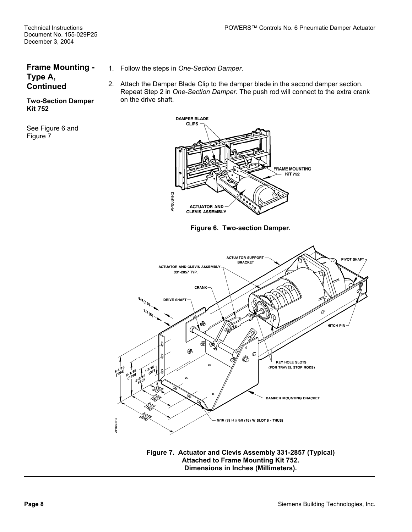### **Frame Mounting - Type A, Continued**

1. Follow the steps in *One-Section Damper*.

2. Attach the Damper Blade Clip to the damper blade in the second damper section. Repeat Step 2 in *One-Section Damper*. The push rod will connect to the extra crank on the drive shaft.

<span id="page-7-0"></span>

**Figure 6. Two-section Damper.** 

<span id="page-7-1"></span>

**Figure 7. Actuator and Clevis Assembly 331-2857 (Typical) Attached to Frame Mounting Kit 752. Dimensions in Inches (Millimeters).** 

**Two-Section Damper Kit 752** 

See [Figure 6](#page-7-0) and [Figure 7](#page-7-1)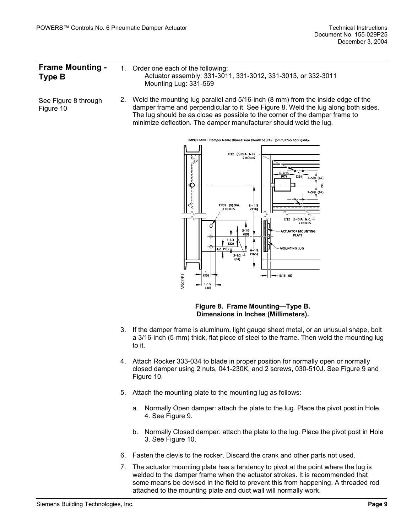| <b>Frame Mounting -</b> | 1. Order one each of the following:                          |
|-------------------------|--------------------------------------------------------------|
| Type B                  | Actuator assembly: 331-3011, 331-3012, 331-3013, or 332-3011 |
|                         | Mounting Lug: 331-569                                        |

See [Figure 8](#page-8-0) through [Figure 10](#page-9-0)  2. Weld the mounting lug parallel and 5/16-inch (8 mm) from the inside edge of the damper frame and perpendicular to it. See [Figure 8.](#page-8-0) Weld the lug along both sides. The lug should be as close as possible to the corner of the damper frame to minimize deflection. The damper manufacturer should weld the lug.

<span id="page-8-0"></span>

**Figure 8. Frame Mounting—Type B. Dimensions in Inches (Millimeters).** 

- 3. If the damper frame is aluminum, light gauge sheet metal, or an unusual shape, bolt a 3/16-inch (5-mm) thick, flat piece of steel to the frame. Then weld the mounting lug to it.
- 4. Attach Rocker 333-034 to blade in proper position for normally open or normally closed damper using 2 nuts, 041-230K, and 2 screws, 030-510J. See [Figure 9](#page-9-1) and [Figure 10.](#page-9-0)
- 5. Attach the mounting plate to the mounting lug as follows:
	- a. Normally Open damper: attach the plate to the lug. Place the pivot post in Hole 4. See [Figure 9.](#page-9-1)
	- b. Normally Closed damper: attach the plate to the lug. Place the pivot post in Hole 3. See [Figure 10.](#page-9-0)
- 6. Fasten the clevis to the rocker. Discard the crank and other parts not used.
- 7. The actuator mounting plate has a tendency to pivot at the point where the lug is welded to the damper frame when the actuator strokes. It is recommended that some means be devised in the field to prevent this from happening. A threaded rod attached to the mounting plate and duct wall will normally work.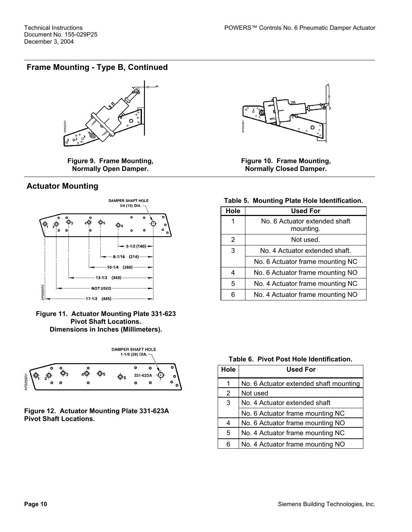## **Frame Mounting - Type B, Continued**

<span id="page-9-1"></span>

**Figure 9. Frame Mounting, Normally Open Damper.** 

### **Actuator Mounting**



**Figure 11. Actuator Mounting Plate 331-623 Pivot Shaft Locations. Dimensions in Inches (Millimeters).** 



**Figure 12. Actuator Mounting Plate 331-623A Pivot Shaft Locations.** 

<span id="page-9-0"></span>

**Figure 10. Frame Mounting, Normally Closed Damper.** 

#### **Table 5. Mounting Plate Hole Identification.**

| Hole           | <b>Used For</b>                            |
|----------------|--------------------------------------------|
| 1              | No. 6 Actuator extended shaft<br>mounting. |
| $\overline{2}$ | Not used.                                  |
| 3              | No. 4 Actuator extended shaft.             |
|                | No. 6 Actuator frame mounting NC           |
| 4              | No. 6 Actuator frame mounting NO           |
| 5              | No. 4 Actuator frame mounting NC           |
|                | No. 4 Actuator frame mounting NO           |

#### **Table 6. Pivot Post Hole Identification.**

| Hole | <b>Used For</b>                        |
|------|----------------------------------------|
| 1    | No. 6 Actuator extended shaft mounting |
| 2    | Not used                               |
| 3    | No. 4 Actuator extended shaft          |
|      | No. 6 Actuator frame mounting NC       |
| 4    | No. 6 Actuator frame mounting NO       |
| 5    | No. 4 Actuator frame mounting NC       |
| 6    | No. 4 Actuator frame mounting NO       |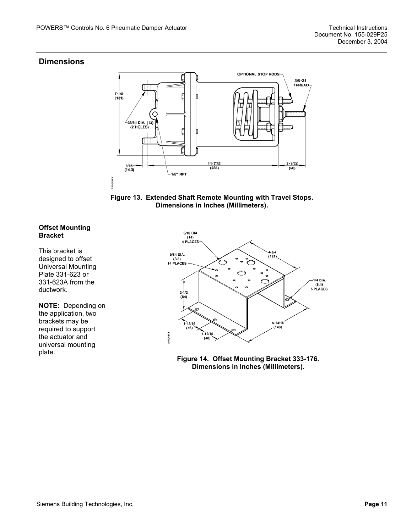#### **Dimensions**

<span id="page-10-0"></span>

**Figure 13. Extended Shaft Remote Mounting with Travel Stops. Dimensions in Inches (Millimeters).** 

#### **Offset Mounting Bracket**

This bracket is designed to offset Universal Mounting Plate 331-623 or 331-623A from the ductwork.

**NOTE:** Depending on the application, two brackets may be required to support the actuator and universal mounting plate.

<span id="page-10-1"></span>

**Figure 14. Offset Mounting Bracket 333-176. Dimensions in Inches (Millimeters).**